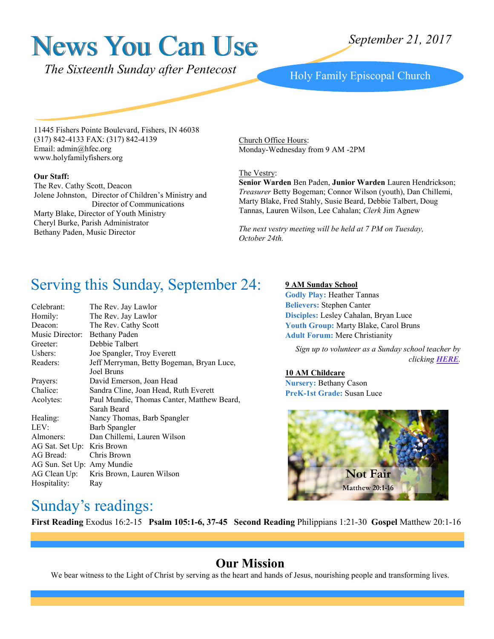# News You Can Use

*The Sixteenth Sunday after Pentecost* Holy Family Episcopal Church

11445 Fishers Pointe Boulevard, Fishers, IN 46038 (317) 842-4133 FAX: (317) 842-4139 Email: admin@hfec.org www.holyfamilyfishers.org

#### **Our Staff:**

The Rev. Cathy Scott, Deacon Jolene Johnston, Director of Children's Ministry and Director of Communications Marty Blake, Director of Youth Ministry Cheryl Burke, Parish Administrator Bethany Paden, Music Director

Church Office Hours: Monday-Wednesday from 9 AM -2PM

#### The Vestry:

**Senior Warden** Ben Paden, **Junior Warden** Lauren Hendrickson; *Treasurer* Betty Bogeman; Connor Wilson (youth), Dan Chillemi, Marty Blake, Fred Stahly, Susie Beard, Debbie Talbert, Doug Tannas, Lauren Wilson, Lee Cahalan; *Clerk* Jim Agnew

*The next vestry meeting will be held at 7 PM on Tuesday, October 24th.*

# Serving this Sunday, September 24:

| Celebrant:                 | The Rev. Jay Lawlor                        |  |
|----------------------------|--------------------------------------------|--|
| Homily:                    | The Rev. Jay Lawlor                        |  |
| Deacon:                    | The Rev. Cathy Scott                       |  |
| Music Director:            | Bethany Paden                              |  |
| Greeter:                   | Debbie Talbert                             |  |
| Ushers:                    | Joe Spangler, Troy Everett                 |  |
| Readers:                   | Jeff Merryman, Betty Bogeman, Bryan Luce,  |  |
|                            | Joel Bruns                                 |  |
| Prayers:                   | David Emerson, Joan Head                   |  |
| Chalice:                   | Sandra Cline, Joan Head, Ruth Everett      |  |
| Acolytes:                  | Paul Mundie, Thomas Canter, Matthew Beard, |  |
|                            | Sarah Beard                                |  |
| Healing:                   | Nancy Thomas, Barb Spangler                |  |
| LEV:                       | Barb Spangler                              |  |
| Almoners:                  | Dan Chillemi, Lauren Wilson                |  |
| AG Sat. Set Up: Kris Brown |                                            |  |
| AG Bread:                  | Chris Brown                                |  |
| AG Sun. Set Up: Amy Mundie |                                            |  |
|                            | AG Clean Up: Kris Brown, Lauren Wilson     |  |
| Hospitality:               | Ray                                        |  |
|                            |                                            |  |

#### **9 AM Sunday School**

**Godly Play:** Heather Tannas **Believers:** Stephen Canter **Disciples:** Lesley Cahalan, Bryan Luce Youth Group: Marty Blake, Carol Bruns **Adult Forum:** Mere Christianity

*Sign up to volunteer as a Sunday school teacher by clicking [HERE](http://www.signupgenius.com/go/20f084aadaf23a3fd0-sunday3).*

#### **10 AM Childcare**

**Nursery:** Bethany Cason **PreK-1st Grade:** Susan Luce



### Sunday's readings:

**First Reading** Exodus 16:2-15 **Psalm 105:1-6, 37-45 Second Reading** Philippians 1:21-30 **Gospel** Matthew 20:1-16

#### **Our Mission**

We bear witness to the Light of Christ by serving as the heart and hands of Jesus, nourishing people and transforming lives.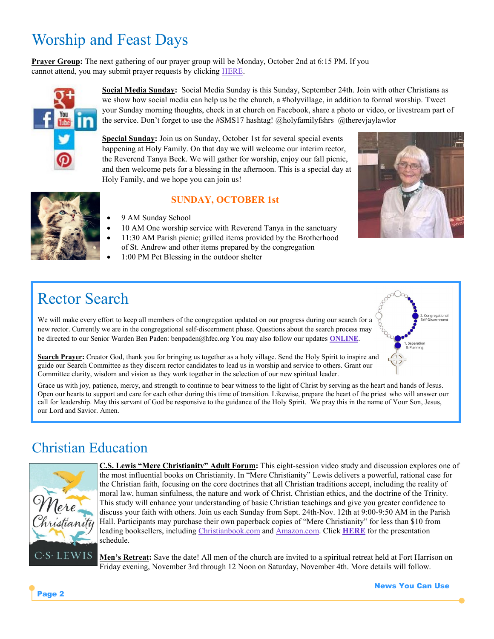# Worship and Feast Days

**Prayer Group:** The next gathering of our prayer group will be Monday, October 2nd at 6:15 PM. If you cannot attend, you may submit prayer requests by clicking [HERE.](http://www.holyfamilyfishers.org/contact-us/)



**Social Media Sunday:** Social Media Sunday is this Sunday, September 24th. Join with other Christians as we show how social media can help us be the church, a #holyvillage, in addition to formal worship. Tweet your Sunday morning thoughts, check in at church on Facebook, share a photo or video, or livestream part of the service. Don't forget to use the #SMS17 hashtag! @holyfamilyfshrs @therevjaylawlor

**Special Sunday:** Join us on Sunday, October 1st for several special events happening at Holy Family. On that day we will welcome our interim rector, the Reverend Tanya Beck. We will gather for worship, enjoy our fall picnic, and then welcome pets for a blessing in the afternoon. This is a special day at Holy Family, and we hope you can join us!

#### **SUNDAY, OCTOBER 1st**

- 9 AM Sunday School
- 10 AM One worship service with Reverend Tanya in the sanctuary
- 11:30 AM Parish picnic; grilled items provided by the Brotherhood of St. Andrew and other items prepared by the congregation
- 1:00 PM Pet Blessing in the outdoor shelter

# Rector Search

We will make every effort to keep all members of the congregation updated on our progress during our search for a new rector. Currently we are in the congregational self-discernment phase. Questions about the search process may be directed to our Senior Warden Ben Paden: benpaden@hfec.org You may also follow our updates **[ONLINE](http://www.holyfamilyfishers.org/rector-search/)**.



**Search Prayer:** Creator God, thank you for bringing us together as a holy village. Send the Holy Spirit to inspire and guide our Search Committee as they discern rector candidates to lead us in worship and service to others. Grant our Committee clarity, wisdom and vision as they work together in the selection of our new spiritual leader.

Grace us with joy, patience, mercy, and strength to continue to bear witness to the light of Christ by serving as the heart and hands of Jesus. Open our hearts to support and care for each other during this time of transition. Likewise, prepare the heart of the priest who will answer our call for leadership. May this servant of God be responsive to the guidance of the Holy Spirit. We pray this in the name of Your Son, Jesus, our Lord and Savior. Amen.

### Christian Education



**C.S. Lewis "Mere Christianity" Adult Forum:** This eight-session video study and discussion explores one of the most influential books on Christianity. In "Mere Christianity" Lewis delivers a powerful, rational case for the Christian faith, focusing on the core doctrines that all Christian traditions accept, including the reality of moral law, human sinfulness, the nature and work of Christ, Christian ethics, and the doctrine of the Trinity. This study will enhance your understanding of basic Christian teachings and give you greater confidence to discuss your faith with others. Join us each Sunday from Sept. 24th-Nov. 12th at 9:00-9:50 AM in the Parish Hall. Participants may purchase their own paperback copies of "Mere Christianity" for less than \$10 from leading booksellers, including [Christianbook.com](https://www.christianbook.com/mere-christianity-c-s-lewis/9780060652920/spd/2926X?) and [Amazon.com.](https://www.amazon.com/Mere-Christianity-C-S-Lewis/dp/B000GG4GLC) Click **[HERE](http://www.holyfamilyfishers.org/hp_wordpress/wp-content/uploads/2017/09/Mere-Christianity-Session-Schedule.pdf)** for the presentation schedule.

**Men's Retreat:** Save the date! All men of the church are invited to a spiritual retreat held at Fort Harrison on Friday evening, November 3rd through 12 Noon on Saturday, November 4th. More details will follow.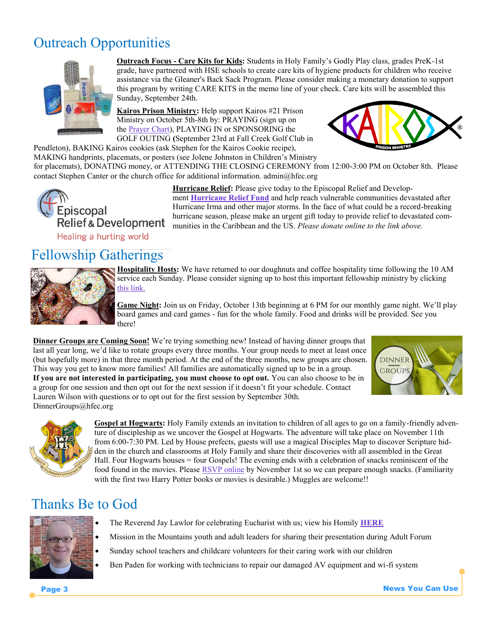# Outreach Opportunities



**Outreach Focus - Care Kits for Kids:** Students in Holy Family's Godly Play class, grades PreK-1st grade, have partnered with HSE schools to create care kits of hygiene products for children who receive assistance via the Gleaner's Back Sack Program. Please consider making a monetary donation to support this program by writing CARE KITS in the memo line of your check. Care kits will be assembled this Sunday, September 24th.

**Kairos Prison Ministry:** Help support Kairos #21 Prison Ministry on October 5th-8th by: PRAYING (sign up on the [Prayer Chart\),](http://www.3dayol.org/Vigil/GetVigil.phtml?pvid=13728&commid=1319) PLAYING IN or SPONSORING the GOLF OUTING **(**September 23rd at Fall Creek Golf Club in Pendleton), BAKING Kairos cookies (ask Stephen for the Kairos Cookie recipe),



MAKING handprints, placemats, or posters (see Jolene Johnston in Children's Ministry for placemats), DONATING money, or ATTENDING THE CLOSING CEREMONY from 12:00-3:00 PM on October 8th. Please contact Stephen Canter or the church office for additional information. admin@hfec.org



**Hurricane Relief:** Please give today to the Episcopal Relief and Development **[Hurricane Relief Fund](https://support.episcopalrelief.org/hurricane-relief)** and help reach vulnerable communities devastated after Hurricane Irma and other major storms. In the face of what could be a record-breaking hurricane season, please make an urgent gift today to provide relief to devastated com-Relief & Development munities in the Caribbean and the US. Please donate online to the link above.

### Fellowship Gatherings



**Hospitality Hosts:** We have returned to our doughnuts and coffee hospitality time following the 10 AM service each Sunday. Please consider signing up to host this important fellowship ministry by clicking [this link.](http://www.signupgenius.com/go/20f0f4ca9a62ba1fb6-holy4)

**Game Night:** Join us on Friday, October 13th beginning at 6 PM for our monthly game night. We'll play board games and card games - fun for the whole family. Food and drinks will be provided. See you there!

**Dinner Groups are Coming Soon!** We're trying something new! Instead of having dinner groups that last all year long, we'd like to rotate groups every three months. Your group needs to meet at least once (but hopefully more) in that three month period. At the end of the three months, new groups are chosen. This way you get to know more families! All families are automatically signed up to be in a group. **If you are not interested in participating, you must choose to opt out.** You can also choose to be in a group for one session and then opt out for the next session if it doesn't fit your schedule. Contact Lauren Wilson with questions or to opt out for the first session by September 30th. DinnerGroups@hfec.org





**Gospel at Hogwarts:** Holy Family extends an invitation to children of all ages to go on a family-friendly adventure of discipleship as we uncover the Gospel at Hogwarts. The adventure will take place on November 11th from 6:00-7:30 PM. Led by House prefects, guests will use a magical Disciples Map to discover Scripture hidden in the church and classrooms at Holy Family and share their discoveries with all assembled in the Great Hall. Four Hogwarts houses = four Gospels! The evening ends with a celebration of snacks reminiscent of the food found in the movies. Please [RSVP online](http://tinyurl.com/GospelatHogwarts) by November 1st so we can prepare enough snacks. (Familiarity with the first two Harry Potter books or movies is desirable.) Muggles are welcome!!

# Thanks Be to God



- The Reverend Jay Lawlor for celebrating Eucharist with us; view his Homily **[HERE](https://youtu.be/gmZeADP_OYc)**
- Mission in the Mountains youth and adult leaders for sharing their presentation during Adult Forum
- Sunday school teachers and childcare volunteers for their caring work with our children
	- Ben Paden for working with technicians to repair our damaged AV equipment and wi-fi system